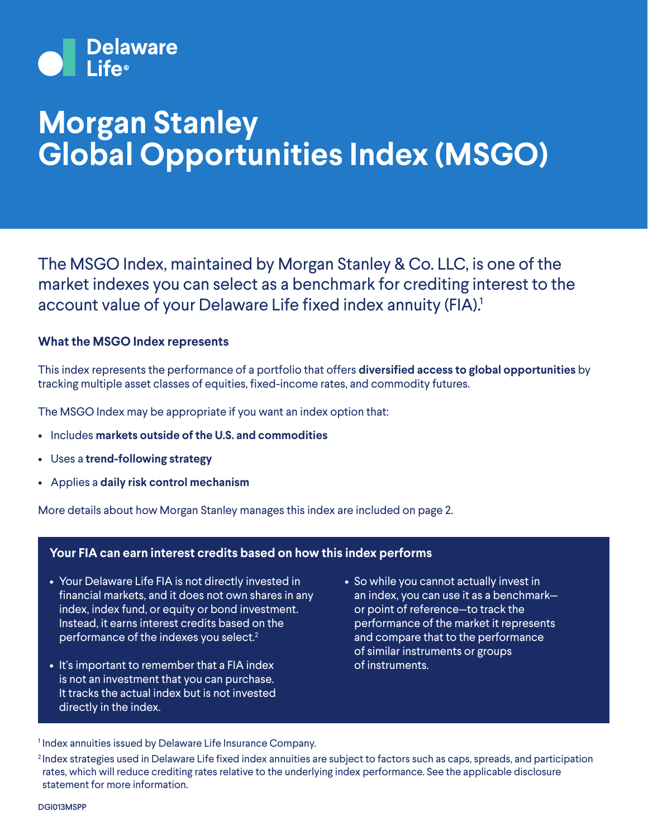

## **Morgan Stanley Global Opportunities Index (MSGO)**

The MSGO Index, maintained by Morgan Stanley & Co. LLC, is one of the market indexes you can select as a benchmark for crediting interest to the account value of your Delaware Life fixed index annuity (FIA).<sup>1</sup>

#### **What the MSGO Index represents**

This index represents the performance of a portfolio that offers **diversified access to global opportunities** by tracking multiple asset classes of equities, fixed-income rates, and commodity futures.

The MSGO Index may be appropriate if you want an index option that:

- Includes **markets outside of the U.S. and commodities**
- Uses a **trend-following strategy**
- Applies a **daily risk control mechanism**

More details about how Morgan Stanley manages this index are included on page 2.

#### **Your FIA can earn interest credits based on how this index performs**

- Your Delaware Life FIA is not directly invested in financial markets, and it does not own shares in any index, index fund, or equity or bond investment. Instead, it earns interest credits based on the performance of the indexes you select.2
- It's important to remember that a FIA index is not an investment that you can purchase. It tracks the actual index but is not invested directly in the index.
- So while you cannot actually invest in an index, you can use it as a benchmark or point of reference—to track the performance of the market it represents and compare that to the performance of similar instruments or groups of instruments.

<sup>1</sup> Index annuities issued by Delaware Life Insurance Company.

<sup>2</sup> Index strategies used in Delaware Life fixed index annuities are subject to factors such as caps, spreads, and participation rates, which will reduce crediting rates relative to the underlying index performance. See the applicable disclosure statement for more information.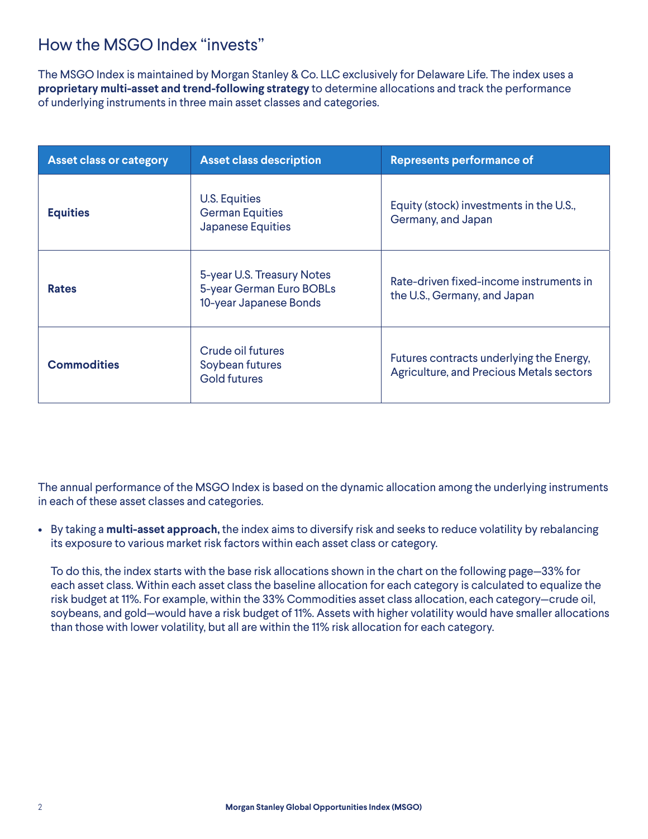### How the MSGO Index "invests"

The MSGO Index is maintained by Morgan Stanley & Co. LLC exclusively for Delaware Life. The index uses a **proprietary multi-asset and trend-following strategy** to determine allocations and track the performance of underlying instruments in three main asset classes and categories.

| <b>Asset class or category</b> | <b>Asset class description</b>                                                   | <b>Represents performance of</b>                                                            |
|--------------------------------|----------------------------------------------------------------------------------|---------------------------------------------------------------------------------------------|
| <b>Equities</b>                | <b>U.S. Equities</b><br><b>German Equities</b><br><b>Japanese Equities</b>       | Equity (stock) investments in the U.S.,<br>Germany, and Japan                               |
| <b>Rates</b>                   | 5-year U.S. Treasury Notes<br>5-year German Euro BOBLs<br>10-year Japanese Bonds | Rate-driven fixed-income instruments in<br>the U.S., Germany, and Japan                     |
| <b>Commodities</b>             | Crude oil futures<br>Soybean futures<br><b>Gold futures</b>                      | Futures contracts underlying the Energy,<br><b>Agriculture, and Precious Metals sectors</b> |

The annual performance of the MSGO Index is based on the dynamic allocation among the underlying instruments in each of these asset classes and categories.

• By taking a **multi-asset approach,** the index aims to diversify risk and seeks to reduce volatility by rebalancing its exposure to various market risk factors within each asset class or category.

 To do this, the index starts with the base risk allocations shown in the chart on the following page—33% for each asset class. Within each asset class the baseline allocation for each category is calculated to equalize the risk budget at 11%. For example, within the 33% Commodities asset class allocation, each category—crude oil, soybeans, and gold—would have a risk budget of 11%. Assets with higher volatility would have smaller allocations than those with lower volatility, but all are within the 11% risk allocation for each category.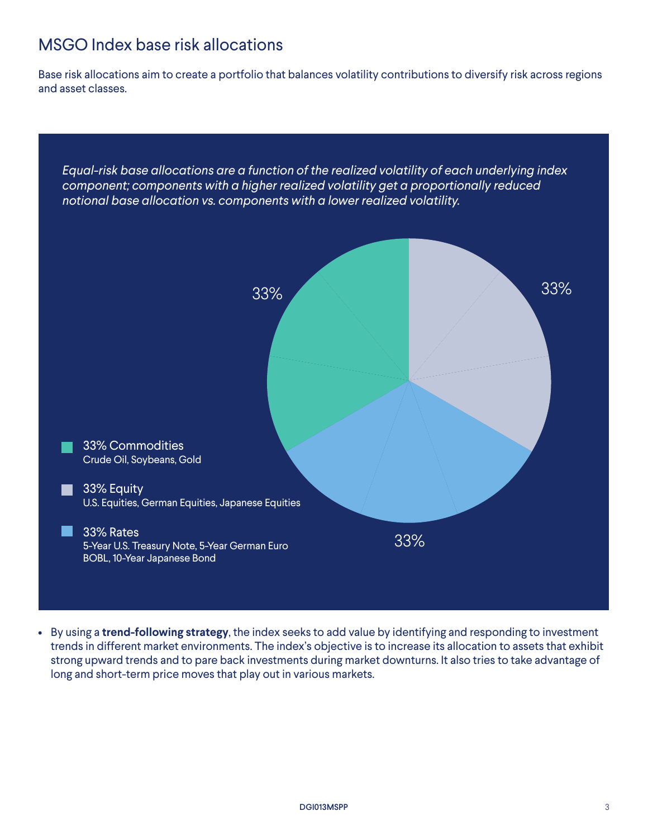## MSGO Index base risk allocations

Base risk allocations aim to create a portfolio that balances volatility contributions to diversify risk across regions and asset classes.



• By using a **trend-following strategy**, the index seeks to add value by identifying and responding to investment trends in different market environments. The index's objective is to increase its allocation to assets that exhibit strong upward trends and to pare back investments during market downturns. It also tries to take advantage of long and short-term price moves that play out in various markets.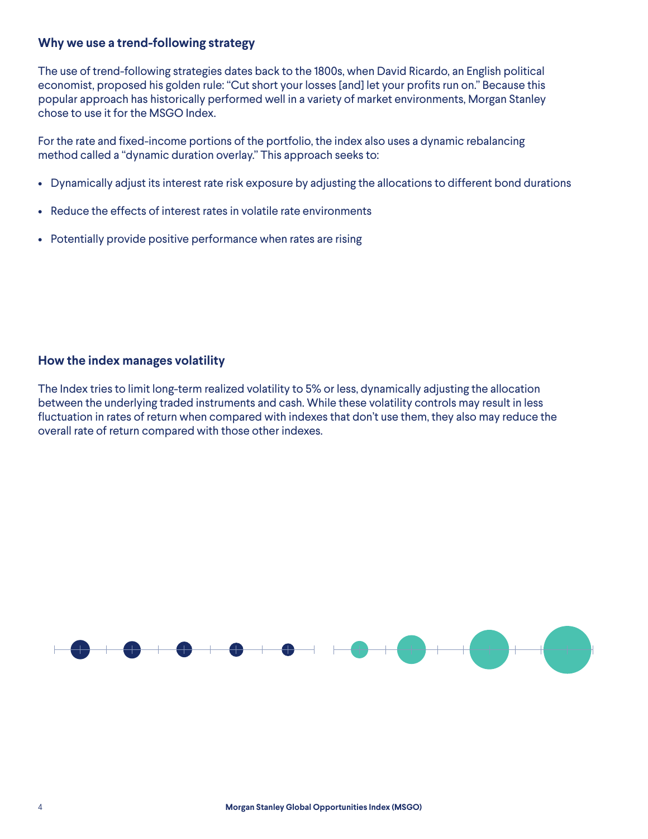#### **Why we use a trend-following strategy**

The use of trend-following strategies dates back to the 1800s, when David Ricardo, an English political economist, proposed his golden rule: "Cut short your losses [and] let your profits run on." Because this popular approach has historically performed well in a variety of market environments, Morgan Stanley chose to use it for the MSGO Index.

For the rate and fixed-income portions of the portfolio, the index also uses a dynamic rebalancing method called a "dynamic duration overlay." This approach seeks to:

- Dynamically adjust its interest rate risk exposure by adjusting the allocations to different bond durations
- Reduce the effects of interest rates in volatile rate environments
- Potentially provide positive performance when rates are rising

#### **How the index manages volatility**

The Index tries to limit long-term realized volatility to 5% or less, dynamically adjusting the allocation between the underlying traded instruments and cash. While these volatility controls may result in less fluctuation in rates of return when compared with indexes that don't use them, they also may reduce the overall rate of return compared with those other indexes.

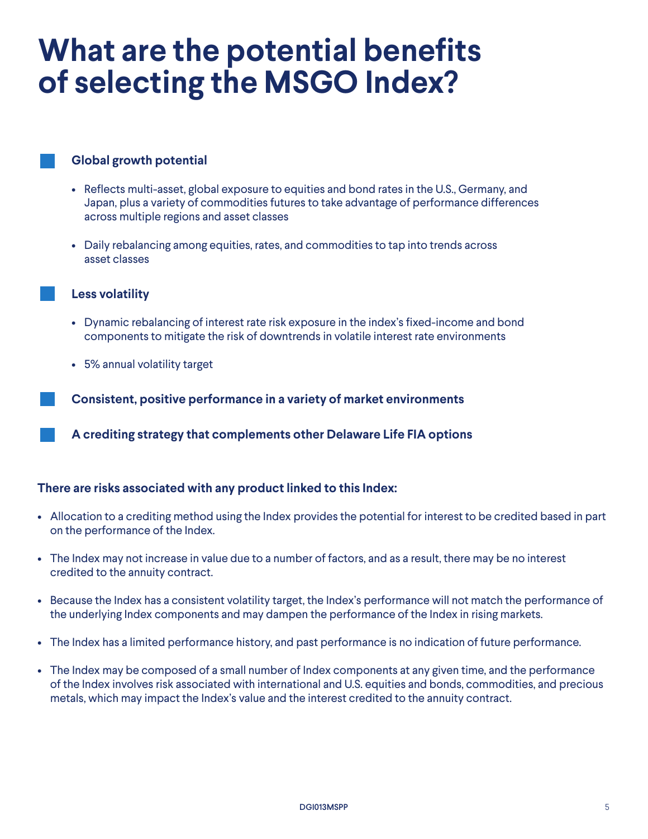## **What are the potential benefits of selecting the MSGO Index?**

#### **Global growth potential**

- Reflects multi-asset, global exposure to equities and bond rates in the U.S., Germany, and Japan, plus a variety of commodities futures to take advantage of performance differences across multiple regions and asset classes
- Daily rebalancing among equities, rates, and commodities to tap into trends across asset classes

#### **Less volatility**

- Dynamic rebalancing of interest rate risk exposure in the index's fixed-income and bond components to mitigate the risk of downtrends in volatile interest rate environments
- 5% annual volatility target

**Consistent, positive performance in a variety of market environments**

**A crediting strategy that complements other Delaware Life FIA options**

#### **There are risks associated with any product linked to this Index:**

- Allocation to a crediting method using the Index provides the potential for interest to be credited based in part on the performance of the Index.
- The Index may not increase in value due to a number of factors, and as a result, there may be no interest credited to the annuity contract.
- Because the Index has a consistent volatility target, the Index's performance will not match the performance of the underlying Index components and may dampen the performance of the Index in rising markets.
- The Index has a limited performance history, and past performance is no indication of future performance.
- The Index may be composed of a small number of Index components at any given time, and the performance of the Index involves risk associated with international and U.S. equities and bonds, commodities, and precious metals, which may impact the Index's value and the interest credited to the annuity contract.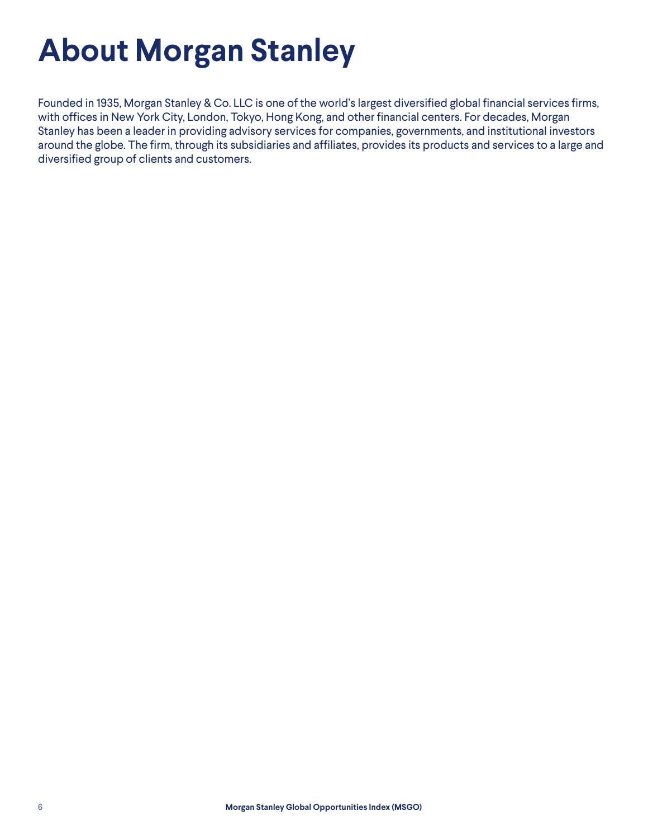# **About Morgan Stanley**

Founded in 1935, Morgan Stanley & Co. LLC is one of the world's largest diversified global financial services firms, with offices in New York City, London, Tokyo, Hong Kong, and other financial centers. For decades, Morgan Stanley has been a leader in providing advisory services for companies, governments, and institutional investors around the globe. The firm, through its subsidiaries and affiliates, provides its products and services to a large and diversified group of clients and customers.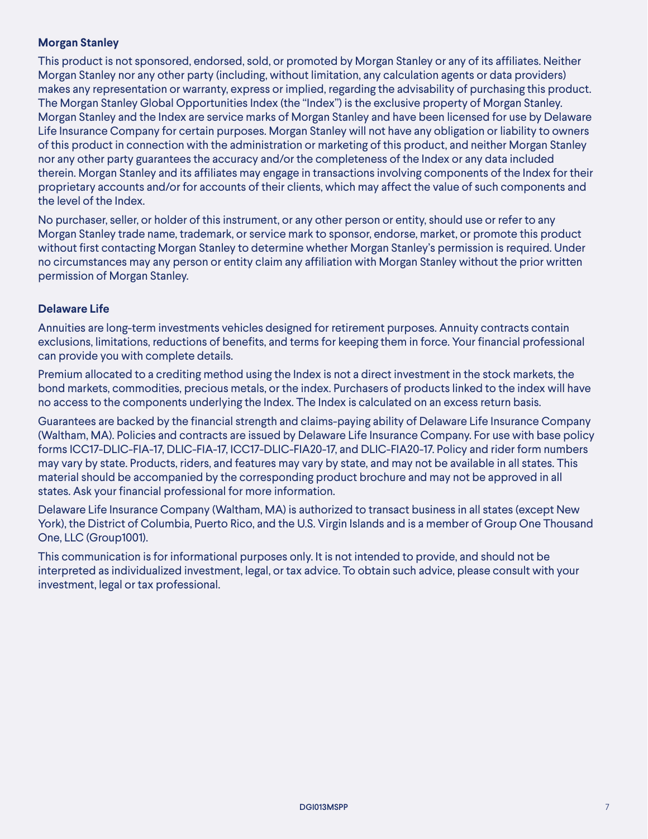#### **Morgan Stanley**

This product is not sponsored, endorsed, sold, or promoted by Morgan Stanley or any of its affiliates. Neither Morgan Stanley nor any other party (including, without limitation, any calculation agents or data providers) makes any representation or warranty, express or implied, regarding the advisability of purchasing this product. The Morgan Stanley Global Opportunities Index (the "Index") is the exclusive property of Morgan Stanley. Morgan Stanley and the Index are service marks of Morgan Stanley and have been licensed for use by Delaware Life Insurance Company for certain purposes. Morgan Stanley will not have any obligation or liability to owners of this product in connection with the administration or marketing of this product, and neither Morgan Stanley nor any other party guarantees the accuracy and/or the completeness of the Index or any data included therein. Morgan Stanley and its affiliates may engage in transactions involving components of the Index for their proprietary accounts and/or for accounts of their clients, which may affect the value of such components and the level of the Index.

No purchaser, seller, or holder of this instrument, or any other person or entity, should use or refer to any Morgan Stanley trade name, trademark, or service mark to sponsor, endorse, market, or promote this product without first contacting Morgan Stanley to determine whether Morgan Stanley's permission is required. Under no circumstances may any person or entity claim any affiliation with Morgan Stanley without the prior written permission of Morgan Stanley.

#### **Delaware Life**

Annuities are long-term investments vehicles designed for retirement purposes. Annuity contracts contain exclusions, limitations, reductions of benefits, and terms for keeping them in force. Your financial professional can provide you with complete details.

Premium allocated to a crediting method using the Index is not a direct investment in the stock markets, the bond markets, commodities, precious metals, or the index. Purchasers of products linked to the index will have no access to the components underlying the Index. The Index is calculated on an excess return basis.

Guarantees are backed by the financial strength and claims-paying ability of Delaware Life Insurance Company (Waltham, MA). Policies and contracts are issued by Delaware Life Insurance Company. For use with base policy forms ICC17-DLIC-FIA-17, DLIC-FIA-17, ICC17-DLIC-FIA20-17, and DLIC-FIA20-17. Policy and rider form numbers may vary by state. Products, riders, and features may vary by state, and may not be available in all states. This material should be accompanied by the corresponding product brochure and may not be approved in all states. Ask your financial professional for more information.

Delaware Life Insurance Company (Waltham, MA) is authorized to transact business in all states (except New York), the District of Columbia, Puerto Rico, and the U.S. Virgin Islands and is a member of Group One Thousand One, LLC (Group1001).

This communication is for informational purposes only. It is not intended to provide, and should not be interpreted as individualized investment, legal, or tax advice. To obtain such advice, please consult with your investment, legal or tax professional.